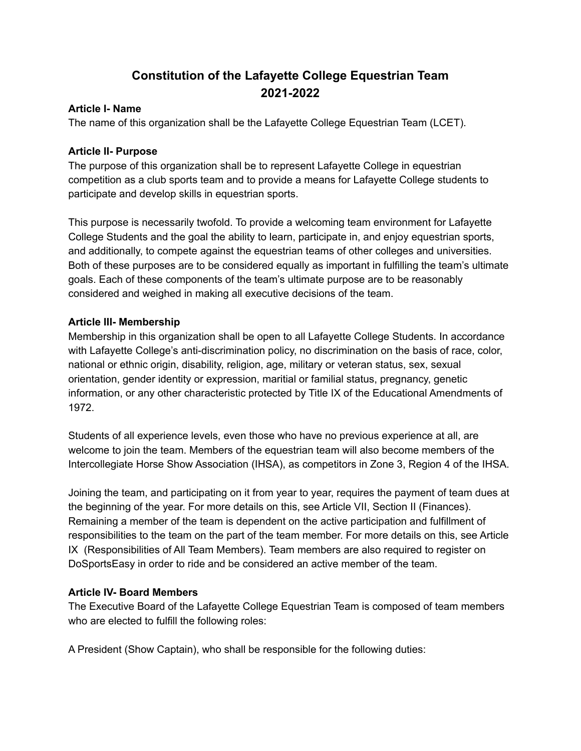# **Constitution of the Lafayette College Equestrian Team 2021-2022**

#### **Article I- Name**

The name of this organization shall be the Lafayette College Equestrian Team (LCET).

### **Article II- Purpose**

The purpose of this organization shall be to represent Lafayette College in equestrian competition as a club sports team and to provide a means for Lafayette College students to participate and develop skills in equestrian sports.

This purpose is necessarily twofold. To provide a welcoming team environment for Lafayette College Students and the goal the ability to learn, participate in, and enjoy equestrian sports, and additionally, to compete against the equestrian teams of other colleges and universities. Both of these purposes are to be considered equally as important in fulfilling the team's ultimate goals. Each of these components of the team's ultimate purpose are to be reasonably considered and weighed in making all executive decisions of the team.

#### **Article III- Membership**

Membership in this organization shall be open to all Lafayette College Students. In accordance with Lafayette College's anti-discrimination policy, no discrimination on the basis of race, color, national or ethnic origin, disability, religion, age, military or veteran status, sex, sexual orientation, gender identity or expression, maritial or familial status, pregnancy, genetic information, or any other characteristic protected by Title IX of the Educational Amendments of 1972.

Students of all experience levels, even those who have no previous experience at all, are welcome to join the team. Members of the equestrian team will also become members of the Intercollegiate Horse Show Association (IHSA), as competitors in Zone 3, Region 4 of the IHSA.

Joining the team, and participating on it from year to year, requires the payment of team dues at the beginning of the year. For more details on this, see Article VII, Section II (Finances). Remaining a member of the team is dependent on the active participation and fulfillment of responsibilities to the team on the part of the team member. For more details on this, see Article IX (Responsibilities of All Team Members). Team members are also required to register on DoSportsEasy in order to ride and be considered an active member of the team.

# **Article IV- Board Members**

The Executive Board of the Lafayette College Equestrian Team is composed of team members who are elected to fulfill the following roles:

A President (Show Captain), who shall be responsible for the following duties: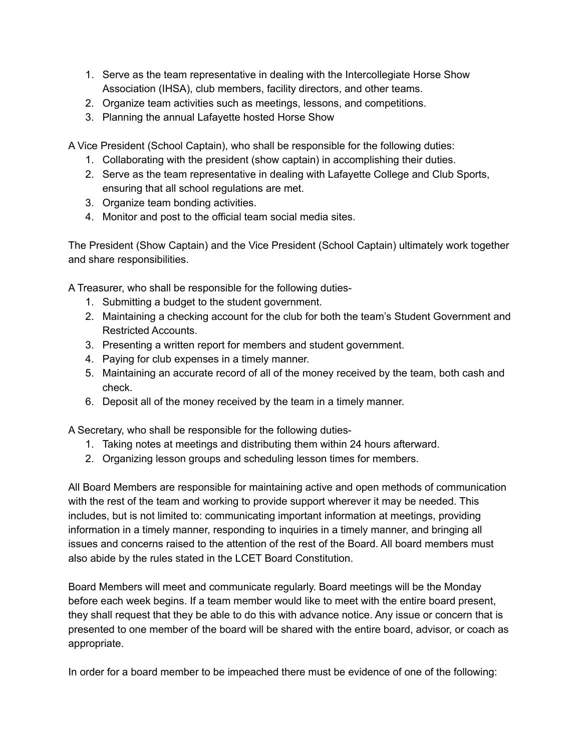- 1. Serve as the team representative in dealing with the Intercollegiate Horse Show Association (IHSA), club members, facility directors, and other teams.
- 2. Organize team activities such as meetings, lessons, and competitions.
- 3. Planning the annual Lafayette hosted Horse Show

A Vice President (School Captain), who shall be responsible for the following duties:

- 1. Collaborating with the president (show captain) in accomplishing their duties.
- 2. Serve as the team representative in dealing with Lafayette College and Club Sports, ensuring that all school regulations are met.
- 3. Organize team bonding activities.
- 4. Monitor and post to the official team social media sites.

The President (Show Captain) and the Vice President (School Captain) ultimately work together and share responsibilities.

A Treasurer, who shall be responsible for the following duties-

- 1. Submitting a budget to the student government.
- 2. Maintaining a checking account for the club for both the team's Student Government and Restricted Accounts.
- 3. Presenting a written report for members and student government.
- 4. Paying for club expenses in a timely manner.
- 5. Maintaining an accurate record of all of the money received by the team, both cash and check.
- 6. Deposit all of the money received by the team in a timely manner.

A Secretary, who shall be responsible for the following duties-

- 1. Taking notes at meetings and distributing them within 24 hours afterward.
- 2. Organizing lesson groups and scheduling lesson times for members.

All Board Members are responsible for maintaining active and open methods of communication with the rest of the team and working to provide support wherever it may be needed. This includes, but is not limited to: communicating important information at meetings, providing information in a timely manner, responding to inquiries in a timely manner, and bringing all issues and concerns raised to the attention of the rest of the Board. All board members must also abide by the rules stated in the LCET Board Constitution.

Board Members will meet and communicate regularly. Board meetings will be the Monday before each week begins. If a team member would like to meet with the entire board present, they shall request that they be able to do this with advance notice. Any issue or concern that is presented to one member of the board will be shared with the entire board, advisor, or coach as appropriate.

In order for a board member to be impeached there must be evidence of one of the following: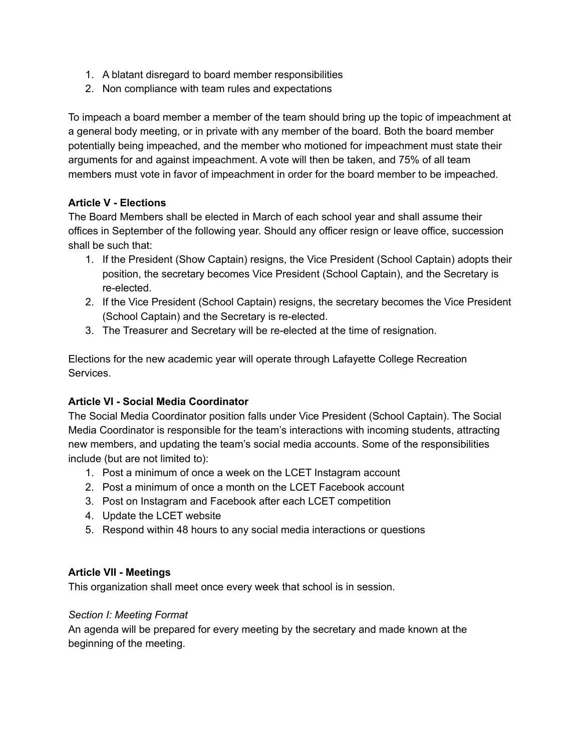- 1. A blatant disregard to board member responsibilities
- 2. Non compliance with team rules and expectations

To impeach a board member a member of the team should bring up the topic of impeachment at a general body meeting, or in private with any member of the board. Both the board member potentially being impeached, and the member who motioned for impeachment must state their arguments for and against impeachment. A vote will then be taken, and 75% of all team members must vote in favor of impeachment in order for the board member to be impeached.

# **Article V - Elections**

The Board Members shall be elected in March of each school year and shall assume their offices in September of the following year. Should any officer resign or leave office, succession shall be such that:

- 1. If the President (Show Captain) resigns, the Vice President (School Captain) adopts their position, the secretary becomes Vice President (School Captain), and the Secretary is re-elected.
- 2. If the Vice President (School Captain) resigns, the secretary becomes the Vice President (School Captain) and the Secretary is re-elected.
- 3. The Treasurer and Secretary will be re-elected at the time of resignation.

Elections for the new academic year will operate through Lafayette College Recreation Services.

# **Article VI - Social Media Coordinator**

The Social Media Coordinator position falls under Vice President (School Captain). The Social Media Coordinator is responsible for the team's interactions with incoming students, attracting new members, and updating the team's social media accounts. Some of the responsibilities include (but are not limited to):

- 1. Post a minimum of once a week on the LCET Instagram account
- 2. Post a minimum of once a month on the LCET Facebook account
- 3. Post on Instagram and Facebook after each LCET competition
- 4. Update the LCET website
- 5. Respond within 48 hours to any social media interactions or questions

# **Article VII - Meetings**

This organization shall meet once every week that school is in session.

# *Section I: Meeting Format*

An agenda will be prepared for every meeting by the secretary and made known at the beginning of the meeting.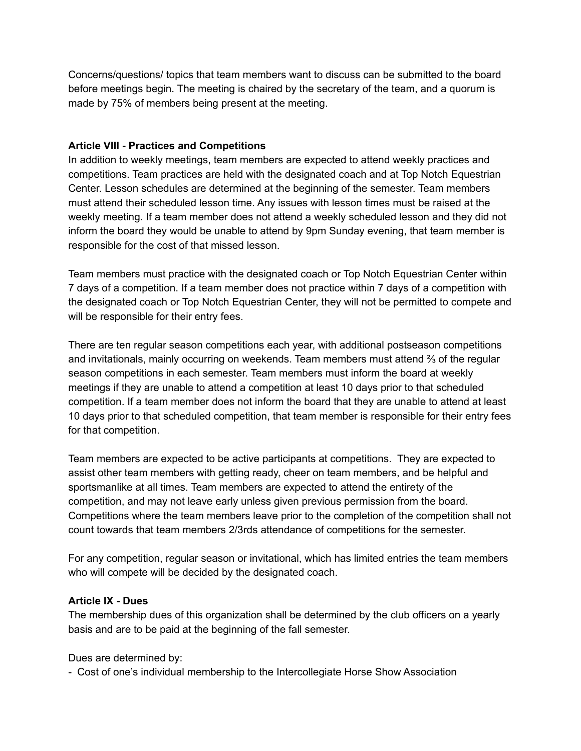Concerns/questions/ topics that team members want to discuss can be submitted to the board before meetings begin. The meeting is chaired by the secretary of the team, and a quorum is made by 75% of members being present at the meeting.

#### **Article VIII - Practices and Competitions**

In addition to weekly meetings, team members are expected to attend weekly practices and competitions. Team practices are held with the designated coach and at Top Notch Equestrian Center. Lesson schedules are determined at the beginning of the semester. Team members must attend their scheduled lesson time. Any issues with lesson times must be raised at the weekly meeting. If a team member does not attend a weekly scheduled lesson and they did not inform the board they would be unable to attend by 9pm Sunday evening, that team member is responsible for the cost of that missed lesson.

Team members must practice with the designated coach or Top Notch Equestrian Center within 7 days of a competition. If a team member does not practice within 7 days of a competition with the designated coach or Top Notch Equestrian Center, they will not be permitted to compete and will be responsible for their entry fees.

There are ten regular season competitions each year, with additional postseason competitions and invitationals, mainly occurring on weekends. Team members must attend ⅔ of the regular season competitions in each semester. Team members must inform the board at weekly meetings if they are unable to attend a competition at least 10 days prior to that scheduled competition. If a team member does not inform the board that they are unable to attend at least 10 days prior to that scheduled competition, that team member is responsible for their entry fees for that competition.

Team members are expected to be active participants at competitions. They are expected to assist other team members with getting ready, cheer on team members, and be helpful and sportsmanlike at all times. Team members are expected to attend the entirety of the competition, and may not leave early unless given previous permission from the board. Competitions where the team members leave prior to the completion of the competition shall not count towards that team members 2/3rds attendance of competitions for the semester.

For any competition, regular season or invitational, which has limited entries the team members who will compete will be decided by the designated coach.

#### **Article IX - Dues**

The membership dues of this organization shall be determined by the club officers on a yearly basis and are to be paid at the beginning of the fall semester.

Dues are determined by:

- Cost of one's individual membership to the Intercollegiate Horse Show Association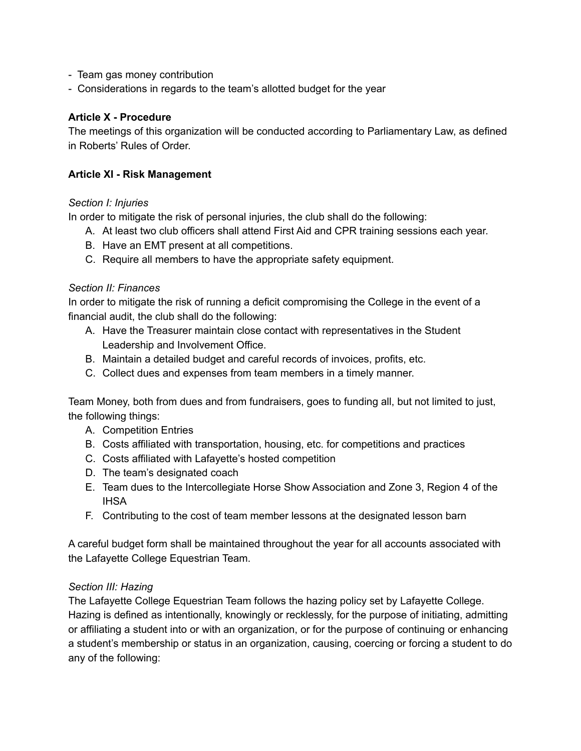- Team gas money contribution
- Considerations in regards to the team's allotted budget for the year

#### **Article X - Procedure**

The meetings of this organization will be conducted according to Parliamentary Law, as defined in Roberts' Rules of Order.

#### **Article XI - Risk Management**

#### *Section I: Injuries*

In order to mitigate the risk of personal injuries, the club shall do the following:

- A. At least two club officers shall attend First Aid and CPR training sessions each year.
- B. Have an EMT present at all competitions.
- C. Require all members to have the appropriate safety equipment.

#### *Section II: Finances*

In order to mitigate the risk of running a deficit compromising the College in the event of a financial audit, the club shall do the following:

- A. Have the Treasurer maintain close contact with representatives in the Student Leadership and Involvement Office.
- B. Maintain a detailed budget and careful records of invoices, profits, etc.
- C. Collect dues and expenses from team members in a timely manner.

Team Money, both from dues and from fundraisers, goes to funding all, but not limited to just, the following things:

- A. Competition Entries
- B. Costs affiliated with transportation, housing, etc. for competitions and practices
- C. Costs affiliated with Lafayette's hosted competition
- D. The team's designated coach
- E. Team dues to the Intercollegiate Horse Show Association and Zone 3, Region 4 of the IHSA
- F. Contributing to the cost of team member lessons at the designated lesson barn

A careful budget form shall be maintained throughout the year for all accounts associated with the Lafayette College Equestrian Team.

#### *Section III: Hazing*

The Lafayette College Equestrian Team follows the hazing policy set by Lafayette College. Hazing is defined as intentionally, knowingly or recklessly, for the purpose of initiating, admitting or affiliating a student into or with an organization, or for the purpose of continuing or enhancing a student's membership or status in an organization, causing, coercing or forcing a student to do any of the following: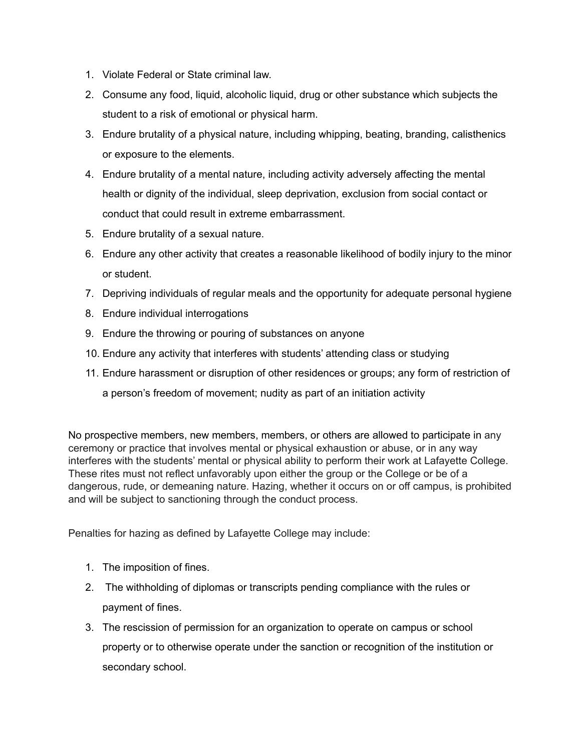- 1. Violate Federal or State criminal law.
- 2. Consume any food, liquid, alcoholic liquid, drug or other substance which subjects the student to a risk of emotional or physical harm.
- 3. Endure brutality of a physical nature, including whipping, beating, branding, calisthenics or exposure to the elements.
- 4. Endure brutality of a mental nature, including activity adversely affecting the mental health or dignity of the individual, sleep deprivation, exclusion from social contact or conduct that could result in extreme embarrassment.
- 5. Endure brutality of a sexual nature.
- 6. Endure any other activity that creates a reasonable likelihood of bodily injury to the minor or student.
- 7. Depriving individuals of regular meals and the opportunity for adequate personal hygiene
- 8. Endure individual interrogations
- 9. Endure the throwing or pouring of substances on anyone
- 10. Endure any activity that interferes with students' attending class or studying
- 11. Endure harassment or disruption of other residences or groups; any form of restriction of

a person's freedom of movement; nudity as part of an initiation activity

No prospective members, new members, members, or others are allowed to participate in any ceremony or practice that involves mental or physical exhaustion or abuse, or in any way interferes with the students' mental or physical ability to perform their work at Lafayette College. These rites must not reflect unfavorably upon either the group or the College or be of a dangerous, rude, or demeaning nature. Hazing, whether it occurs on or off campus, is prohibited and will be subject to sanctioning through the conduct process.

Penalties for hazing as defined by Lafayette College may include:

- 1. The imposition of fines.
- 2. The withholding of diplomas or transcripts pending compliance with the rules or payment of fines.
- 3. The rescission of permission for an organization to operate on campus or school property or to otherwise operate under the sanction or recognition of the institution or secondary school.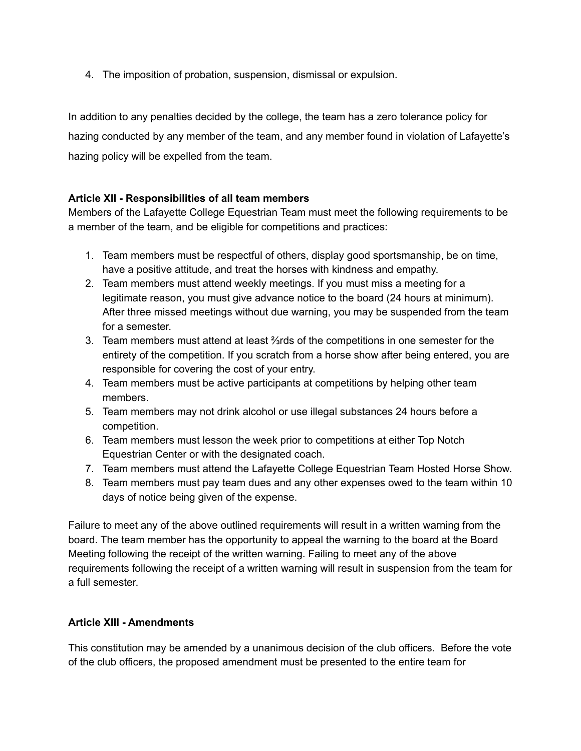4. The imposition of probation, suspension, dismissal or expulsion.

In addition to any penalties decided by the college, the team has a zero tolerance policy for hazing conducted by any member of the team, and any member found in violation of Lafayette's hazing policy will be expelled from the team.

# **Article XII - Responsibilities of all team members**

Members of the Lafayette College Equestrian Team must meet the following requirements to be a member of the team, and be eligible for competitions and practices:

- 1. Team members must be respectful of others, display good sportsmanship, be on time, have a positive attitude, and treat the horses with kindness and empathy.
- 2. Team members must attend weekly meetings. If you must miss a meeting for a legitimate reason, you must give advance notice to the board (24 hours at minimum). After three missed meetings without due warning, you may be suspended from the team for a semester.
- 3. Team members must attend at least ⅔rds of the competitions in one semester for the entirety of the competition. If you scratch from a horse show after being entered, you are responsible for covering the cost of your entry.
- 4. Team members must be active participants at competitions by helping other team members.
- 5. Team members may not drink alcohol or use illegal substances 24 hours before a competition.
- 6. Team members must lesson the week prior to competitions at either Top Notch Equestrian Center or with the designated coach.
- 7. Team members must attend the Lafayette College Equestrian Team Hosted Horse Show.
- 8. Team members must pay team dues and any other expenses owed to the team within 10 days of notice being given of the expense.

Failure to meet any of the above outlined requirements will result in a written warning from the board. The team member has the opportunity to appeal the warning to the board at the Board Meeting following the receipt of the written warning. Failing to meet any of the above requirements following the receipt of a written warning will result in suspension from the team for a full semester.

#### **Article XIII - Amendments**

This constitution may be amended by a unanimous decision of the club officers. Before the vote of the club officers, the proposed amendment must be presented to the entire team for